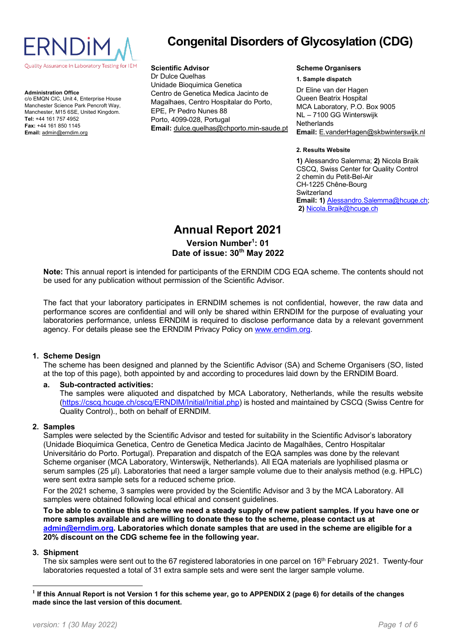

**Administration Office** c/o EMQN CIC, Unit 4, Enterprise House Manchester Science Park Pencroft Way, Manchester, M15 6SE, United Kingdom. **Tel:** +44 161 757 4952 **Fax:** +44 161 850 1145 **Email:** [admin@erndim.org](mailto:admin@erndim.org)

# **Congenital Disorders of Glycosylation (CDG)**

#### **Scientific Advisor**

Dr Dulce Quelhas Unidade Bioquimica Genetica Centro de Genetica Medica Jacinto de Magalhaes, Centro Hospitalar do Porto, EPE, Pr Pedro Nunes 88 Porto, 4099-028, Portugal **Email:** [dulce.quelhas@chporto.min-saude.pt](mailto:dulce.quelhas@chporto.min-saude.pt)

#### **Scheme Organisers**

#### **1. Sample dispatch**

Dr Eline van der Hagen Queen Beatrix Hospital MCA Laboratory, P.O. Box 9005 NL – 7100 GG Winterswijk **Netherlands Email:** E.vanderHagen@skbwinterswijk.nl

#### **2. Results Website**

**1)** Alessandro Salemma; **2)** Nicola Braik CSCQ, Swiss Center for Quality Control 2 chemin du Petit-Bel-Air CH-1225 Chêne-Bourg **Switzerland Email: 1)** Alessandro.Salemma@hcuge.ch; **2)** Nicola.Braik@hcuge.ch

# **Annual Report 2021 Version Number<sup>1</sup> : 01 Date of issue: 30th May 2022**

**Note:** This annual report is intended for participants of the ERNDIM CDG EQA scheme. The contents should not be used for any publication without permission of the Scientific Advisor.

The fact that your laboratory participates in ERNDIM schemes is not confidential, however, the raw data and performance scores are confidential and will only be shared within ERNDIM for the purpose of evaluating your laboratories performance, unless ERNDIM is required to disclose performance data by a relevant government agency. For details please see the ERNDIM Privacy Policy on [www.erndim.org.](http://www.erndim.org/)

#### **1. Scheme Design**

The scheme has been designed and planned by the Scientific Advisor (SA) and Scheme Organisers (SO, listed at the top of this page), both appointed by and according to procedures laid down by the ERNDIM Board.

# **a. Sub-contracted activities:**

The samples were aliquoted and dispatched by MCA Laboratory, Netherlands, while the results website [\(https://cscq.hcuge.ch/cscq/ERNDIM/Initial/Initial.php\)](https://cscq.hcuge.ch/cscq/ERNDIM/Initial/Initial.php) is hosted and maintained by CSCQ (Swiss Centre for Quality Control)., both on behalf of ERNDIM.

#### **2. Samples**

Samples were selected by the Scientific Advisor and tested for suitability in the Scientific Advisor's laboratory (Unidade Bioquimica Genetica, Centro de Genetica Medica Jacinto de Magalhães, Centro Hospitalar Universitário do Porto. Portugal). Preparation and dispatch of the EQA samples was done by the relevant Scheme organiser (MCA Laboratory, Winterswijk, Netherlands). All EQA materials are lyophilised plasma or serum samples (25 µl). Laboratories that need a larger sample volume due to their analysis method (e.g. HPLC) were sent extra sample sets for a reduced scheme price.

For the 2021 scheme, 3 samples were provided by the Scientific Advisor and 3 by the MCA Laboratory. All samples were obtained following local ethical and consent guidelines.

**To be able to continue this scheme we need a steady supply of new patient samples. If you have one or more samples available and are willing to donate these to the scheme, please contact us at [admin@erndim.org.](mailto:admin@erndim.org) Laboratories which donate samples that are used in the scheme are eligible for a 20% discount on the CDG scheme fee in the following year.**

#### **3. Shipment**

The six samples were sent out to the 67 registered laboratories in one parcel on 16<sup>th</sup> February 2021. Twenty-four laboratories requested a total of 31 extra sample sets and were sent the larger sample volume.

**<sup>1</sup> If this Annual Report is not Version 1 for this scheme year, go to [APPENDIX 2](#page-5-0) (pag[e 6\)](#page-5-0) for details of the changes made since the last version of this document.**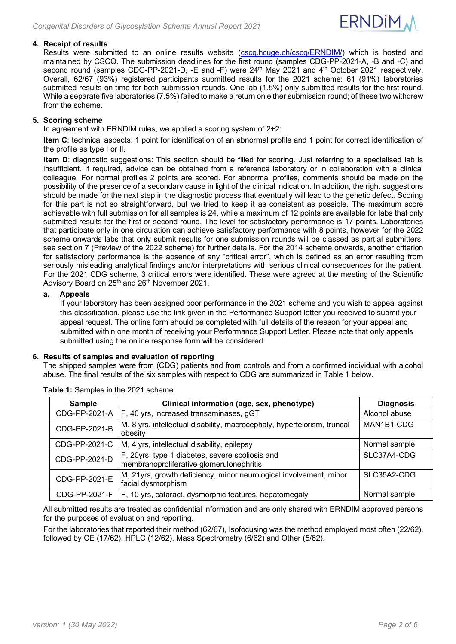

# **4. Receipt of results**

Results were submitted to an online results website [\(cscq.hcuge.ch/cscq/ERNDIM/\)](https://cscq.hcuge.ch/cscq/ERNDIM/Initial/Initial.php) which is hosted and maintained by CSCQ. The submission deadlines for the first round (samples CDG-PP-2021-A, -B and -C) and second round (samples CDG-PP-2021-D, -E and -F) were 24<sup>th</sup> May 2021 and 4<sup>th</sup> October 2021 respectively. Overall, 62/67 (93%) registered participants submitted results for the 2021 scheme: 61 (91%) laboratories submitted results on time for both submission rounds. One lab (1.5%) only submitted results for the first round. While a separate five laboratories (7.5%) failed to make a return on either submission round; of these two withdrew from the scheme.

# **5. Scoring scheme**

In agreement with ERNDIM rules, we applied a scoring system of 2+2:

**Item C**: technical aspects: 1 point for identification of an abnormal profile and 1 point for correct identification of the profile as type I or II.

**Item D**: diagnostic suggestions: This section should be filled for scoring. Just referring to a specialised lab is insufficient. If required, advice can be obtained from a reference laboratory or in collaboration with a clinical colleague. For normal profiles 2 points are scored. For abnormal profiles, comments should be made on the possibility of the presence of a secondary cause in light of the clinical indication. In addition, the right suggestions should be made for the next step in the diagnostic process that eventually will lead to the genetic defect. Scoring for this part is not so straightforward, but we tried to keep it as consistent as possible. The maximum score achievable with full submission for all samples is 24, while a maximum of 12 points are available for labs that only submitted results for the first or second round. The level for satisfactory performance is 17 points. Laboratories that participate only in one circulation can achieve satisfactory performance with 8 points, however for the 2022 scheme onwards labs that only submit results for one submission rounds will be classed as partial submitters, see section [7](#page-3-0) [\(Preview of the 2022](#page-3-0) scheme) for further details. For the 2014 scheme onwards, another criterion for satisfactory performance is the absence of any "critical error", which is defined as an error resulting from seriously misleading analytical findings and/or interpretations with serious clinical consequences for the patient. For the 2021 CDG scheme, 3 critical errors were identified. These were agreed at the meeting of the Scientific Advisory Board on 25<sup>th</sup> and 26<sup>th</sup> November 2021.

# **a. Appeals**

If your laboratory has been assigned poor performance in the 2021 scheme and you wish to appeal against this classification, please use the link given in the Performance Support letter you received to submit your appeal request. The online form should be completed with full details of the reason for your appeal and submitted within one month of receiving your Performance Support Letter. Please note that only appeals submitted using the online response form will be considered.

# **6. Results of samples and evaluation of reporting**

The shipped samples were from (CDG) patients and from controls and from a confirmed individual with alcohol abuse. The final results of the six samples with respect to CDG are summarized in Table 1 below.

| <b>Sample</b> | Clinical information (age, sex, phenotype)                                                  | <b>Diagnosis</b> |  |  |  |  |  |
|---------------|---------------------------------------------------------------------------------------------|------------------|--|--|--|--|--|
| CDG-PP-2021-A | F, 40 yrs, increased transaminases, gGT                                                     | Alcohol abuse    |  |  |  |  |  |
| CDG-PP-2021-B | M, 8 yrs, intellectual disability, macrocephaly, hypertelorism, truncal<br>obesity          |                  |  |  |  |  |  |
| CDG-PP-2021-C | M, 4 yrs, intellectual disability, epilepsy                                                 | Normal sample    |  |  |  |  |  |
| CDG-PP-2021-D | F, 20yrs, type 1 diabetes, severe scoliosis and<br>membranoproliferative glomerulonephritis | SLC37A4-CDG      |  |  |  |  |  |
| CDG-PP-2021-E | M, 21yrs, growth deficiency, minor neurological involvement, minor<br>facial dysmorphism    | SLC35A2-CDG      |  |  |  |  |  |
| CDG-PP-2021-F | F, 10 yrs, cataract, dysmorphic features, hepatomegaly                                      | Normal sample    |  |  |  |  |  |

**Table 1:** Samples in the 2021 scheme

All submitted results are treated as confidential information and are only shared with ERNDIM approved persons for the purposes of evaluation and reporting.

For the laboratories that reported their method (62/67), Isofocusing was the method employed most often (22/62), followed by CE (17/62), HPLC (12/62), Mass Spectrometry (6/62) and Other (5/62).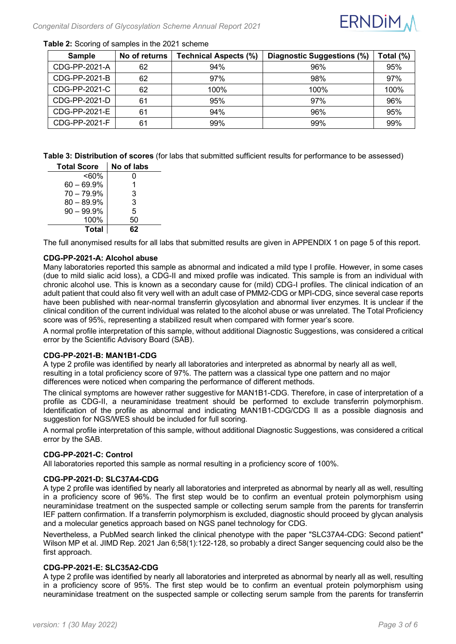

# **Table 2:** Scoring of samples in the 2021 scheme

| <b>Sample</b> | No of returns | <b>Technical Aspects (%)</b> | Diagnostic Suggestions (%) | Total (%) |
|---------------|---------------|------------------------------|----------------------------|-----------|
| CDG-PP-2021-A | 62            | 94%                          | 96%                        | 95%       |
| CDG-PP-2021-B | 62            | 97%                          | 98%                        | 97%       |
| CDG-PP-2021-C | 62            | 100%                         | 100%                       | 100%      |
| CDG-PP-2021-D | 61            | 95%                          | 97%                        | 96%       |
| CDG-PP-2021-E | 61            | 94%                          | 96%                        | 95%       |
| CDG-PP-2021-F | 61            | 99%                          | 99%                        | 99%       |

**Table 3: Distribution of scores** (for labs that submitted sufficient results for performance to be assessed)

| <b>Total Score</b> | No of labs |
|--------------------|------------|
| <60%               | 0          |
| $60 - 69.9%$       | 1          |
| $70 - 79.9%$       | 3          |
| $80 - 89.9%$       | 3          |
| $90 - 99.9\%$      | 5          |
| 100%               | 50         |
| <b>Total</b>       | 62         |

The full anonymised results for all labs that submitted results are given in [APPENDIX 1](#page-4-0) on page [5](#page-4-0) of this report.

# **CDG-PP-2021-A: Alcohol abuse**

Many laboratories reported this sample as abnormal and indicated a mild type I profile. However, in some cases (due to mild sialic acid loss), a CDG-II and mixed profile was indicated. This sample is from an individual with chronic alcohol use. This is known as a secondary cause for (mild) CDG-I profiles. The clinical indication of an adult patient that could also fit very well with an adult case of PMM2-CDG or MPI-CDG, since several case reports have been published with near-normal transferrin glycosylation and abnormal liver enzymes. It is unclear if the clinical condition of the current individual was related to the alcohol abuse or was unrelated. The Total Proficiency score was of 95%, representing a stabilized result when compared with former year's score.

A normal profile interpretation of this sample, without additional Diagnostic Suggestions, was considered a critical error by the Scientific Advisory Board (SAB).

#### **CDG-PP-2021-B: MAN1B1-CDG**

A type 2 profile was identified by nearly all laboratories and interpreted as abnormal by nearly all as well, resulting in a total proficiency score of 97%. The pattern was a classical type one pattern and no major differences were noticed when comparing the performance of different methods.

The clinical symptoms are however rather suggestive for MAN1B1-CDG. Therefore, in case of interpretation of a profile as CDG-II, a neuraminidase treatment should be performed to exclude transferrin polymorphism. Identification of the profile as abnormal and indicating MAN1B1-CDG/CDG II as a possible diagnosis and suggestion for NGS/WES should be included for full scoring.

A normal profile interpretation of this sample, without additional Diagnostic Suggestions, was considered a critical error by the SAB.

#### **CDG-PP-2021-C: Control**

All laboratories reported this sample as normal resulting in a proficiency score of 100%.

#### **CDG-PP-2021-D: SLC37A4-CDG**

A type 2 profile was identified by nearly all laboratories and interpreted as abnormal by nearly all as well, resulting in a proficiency score of 96%. The first step would be to confirm an eventual protein polymorphism using neuraminidase treatment on the suspected sample or collecting serum sample from the parents for transferrin IEF pattern confirmation. If a transferrin polymorphism is excluded, diagnostic should proceed by glycan analysis and a molecular genetics approach based on NGS panel technology for CDG.

Nevertheless, a PubMed search linked the clinical phenotype with the paper "SLC37A4-CDG: Second patient" Wilson MP et al. JIMD Rep. 2021 Jan 6;58(1):122-128, so probably a direct Sanger sequencing could also be the first approach.

#### **CDG-PP-2021-E: SLC35A2-CDG**

A type 2 profile was identified by nearly all laboratories and interpreted as abnormal by nearly all as well, resulting in a proficiency score of 95%. The first step would be to confirm an eventual protein polymorphism using neuraminidase treatment on the suspected sample or collecting serum sample from the parents for transferrin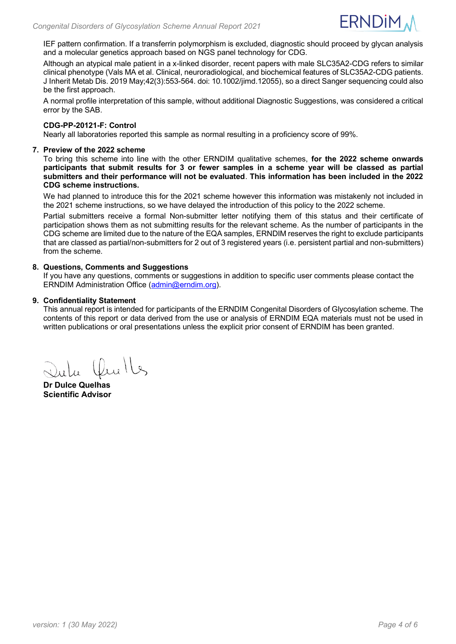

IEF pattern confirmation. If a transferrin polymorphism is excluded, diagnostic should proceed by glycan analysis and a molecular genetics approach based on NGS panel technology for CDG.

Although an atypical male patient in a x-linked disorder, recent papers with male SLC35A2-CDG refers to similar clinical phenotype (Vals MA et al. Clinical, neuroradiological, and biochemical features of SLC35A2-CDG patients. J Inherit Metab Dis. 2019 May;42(3):553-564. doi: 10.1002/jimd.12055), so a direct Sanger sequencing could also be the first approach.

A normal profile interpretation of this sample, without additional Diagnostic Suggestions, was considered a critical error by the SAB.

# **CDG-PP-20121-F: Control**

Nearly all laboratories reported this sample as normal resulting in a proficiency score of 99%.

# <span id="page-3-0"></span>**7. Preview of the 2022 scheme**

To bring this scheme into line with the other ERNDIM qualitative schemes, **for the 2022 scheme onwards participants that submit results for 3 or fewer samples in a scheme year will be classed as partial submitters and their performance will not be evaluated**. **This information has been included in the 2022 CDG scheme instructions.**

We had planned to introduce this for the 2021 scheme however this information was mistakenly not included in the 2021 scheme instructions, so we have delayed the introduction of this policy to the 2022 scheme.

Partial submitters receive a formal Non-submitter letter notifying them of this status and their certificate of participation shows them as not submitting results for the relevant scheme. As the number of participants in the CDG scheme are limited due to the nature of the EQA samples, ERNDIM reserves the right to exclude participants that are classed as partial/non-submitters for 2 out of 3 registered years (i.e. persistent partial and non-submitters) from the scheme.

# **8. Questions, Comments and Suggestions**

If you have any questions, comments or suggestions in addition to specific user comments please contact the ERNDIM Administration Office [\(admin@erndim.org\)](mailto:admin@erndim.org).

# **9. Confidentiality Statement**

This annual report is intended for participants of the ERNDIM Congenital Disorders of Glycosylation scheme. The contents of this report or data derived from the use or analysis of ERNDIM EQA materials must not be used in written publications or oral presentations unless the explicit prior consent of ERNDIM has been granted.

La Cluite

**Dr Dulce Quelhas Scientific Advisor**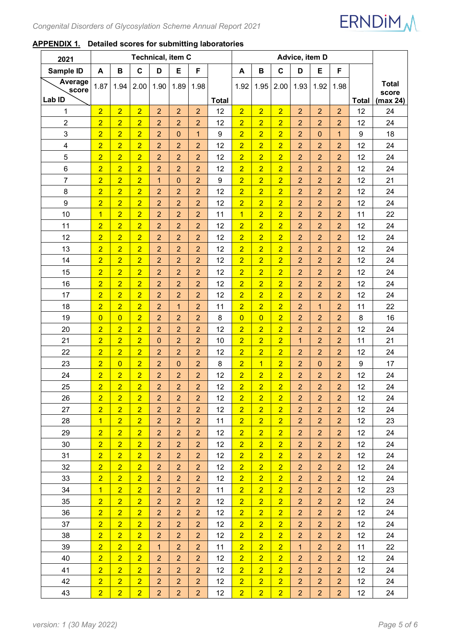

# <span id="page-4-0"></span>**APPENDIX 1. Detailed scores for submitting laboratories**

| 2021                       | Technical, item C |                |                |                |                | Advice, item D |              |                |                |                |                |                |                |                 |                                   |
|----------------------------|-------------------|----------------|----------------|----------------|----------------|----------------|--------------|----------------|----------------|----------------|----------------|----------------|----------------|-----------------|-----------------------------------|
| Sample ID                  | A                 | В              | $\mathbf C$    | D              | E              | F              |              | A              | В              | $\mathbf c$    | D              | E              | F              |                 |                                   |
| Average<br>score<br>Lab ID | 1.87              | 1.94           | 2.00           | 1.90           | 1.89           | 1.98           | <b>Total</b> | 1.92           | 1.95           | 2.00           | 1.93           | 1.92           | 1.98           | <b>Total</b>    | <b>Total</b><br>score<br>(max 24) |
| 1                          | $\overline{2}$    | $\overline{2}$ | $\overline{2}$ | $\overline{2}$ | $\overline{2}$ | $\overline{2}$ | 12           | $\overline{2}$ | $\overline{2}$ | $\overline{2}$ | $\overline{2}$ | $\overline{2}$ | $\overline{2}$ | 12              | 24                                |
| $\overline{c}$             | $\overline{2}$    | $\overline{2}$ | $\overline{2}$ | $\overline{2}$ | $\overline{2}$ | $\overline{a}$ | 12           | $\overline{2}$ | $\overline{2}$ | $\overline{2}$ | $\overline{2}$ | $\overline{2}$ | $\overline{2}$ | 12              | 24                                |
| 3                          | $\overline{2}$    | $\overline{2}$ | $\overline{2}$ | $\overline{2}$ | $\mathbf 0$    | 1              | 9            | $\overline{2}$ | $\overline{2}$ | $\overline{2}$ | $\overline{2}$ | $\mathbf{0}$   | $\mathbf{1}$   | 9               | 18                                |
| $\overline{\mathbf{4}}$    | $\overline{2}$    | $\overline{2}$ | $\overline{2}$ | $\overline{2}$ | $\overline{2}$ | $\overline{a}$ | 12           | $\overline{2}$ | $\overline{2}$ | $\overline{2}$ | $\overline{2}$ | $\overline{2}$ | $\overline{2}$ | 12              | 24                                |
| 5                          | $\overline{2}$    | $\overline{2}$ | $\overline{2}$ | $\overline{2}$ | $\overline{2}$ | $\overline{2}$ | 12           | $\overline{2}$ | $\overline{2}$ | $\overline{2}$ | $\overline{2}$ | $\overline{2}$ | $\overline{2}$ | 12              | 24                                |
| 6                          | $\overline{2}$    | $\overline{2}$ | $\overline{2}$ | $\overline{2}$ | $\overline{2}$ | $\overline{2}$ | 12           | $\overline{2}$ | $\overline{2}$ | $\overline{2}$ | $\overline{2}$ | $\overline{2}$ | $\overline{2}$ | 12              | 24                                |
| 7                          | $\overline{2}$    | $\overline{2}$ | $\overline{2}$ | $\overline{1}$ | $\mathbf 0$    | $\overline{2}$ | 9            | $\overline{2}$ | $\overline{2}$ | $\overline{2}$ | $\overline{2}$ | $\overline{2}$ | $\overline{2}$ | 12              | 21                                |
| 8                          | $\overline{2}$    | $\overline{2}$ | $\overline{2}$ | $\overline{2}$ | $\overline{2}$ | $\overline{a}$ | 12           | $\overline{2}$ | $\overline{2}$ | $\overline{2}$ | $\overline{2}$ | $\overline{2}$ | $\overline{2}$ | 12              | 24                                |
| $\boldsymbol{9}$           | $\overline{2}$    | $\overline{2}$ | $\overline{2}$ | $\overline{2}$ | $\overline{2}$ | $\overline{2}$ | 12           | $\overline{2}$ | $\overline{2}$ | $\overline{2}$ | $\overline{2}$ | $\overline{2}$ | $\overline{2}$ | 12              | 24                                |
| 10                         | $\overline{1}$    | $\overline{2}$ | $\overline{2}$ | $\overline{2}$ | $\overline{2}$ | $\overline{2}$ | 11           | $\overline{1}$ | $\overline{2}$ | $\overline{2}$ | $\overline{2}$ | $\overline{2}$ | $\overline{2}$ | 11              | 22                                |
| 11                         | $\overline{2}$    | $\overline{2}$ | $\overline{2}$ | $\overline{2}$ | $\overline{2}$ | $\overline{2}$ | 12           | $\overline{2}$ | $\overline{2}$ | $\overline{2}$ | $\overline{2}$ | $\overline{2}$ | $\overline{2}$ | 12              | 24                                |
| 12                         | $\overline{2}$    | $\overline{2}$ | $\overline{2}$ | $\overline{2}$ | $\overline{2}$ | $\overline{a}$ | 12           | $\overline{2}$ | $\overline{2}$ | $\overline{2}$ | $\overline{2}$ | $\overline{2}$ | $\overline{2}$ | 12              | 24                                |
| 13                         | $\overline{2}$    | $\overline{2}$ | $\overline{2}$ | $\overline{c}$ | $\overline{2}$ | $\overline{2}$ | 12           | $\overline{2}$ | $\overline{2}$ | $\overline{2}$ | $\overline{2}$ | $\overline{2}$ | $\overline{2}$ | 12              | 24                                |
| 14                         | $\overline{2}$    | $\overline{2}$ | $\overline{2}$ | $\overline{2}$ | $\overline{2}$ | $\overline{2}$ | 12           | $\overline{2}$ | $\overline{2}$ | $\overline{2}$ | $\overline{2}$ | $\overline{2}$ | $\overline{2}$ | 12              | 24                                |
| 15                         | $\overline{2}$    | $\overline{2}$ | $\overline{2}$ | $\overline{2}$ | $\overline{2}$ | $\overline{2}$ | 12           | $\overline{2}$ | $\overline{2}$ | $\overline{2}$ | $\overline{2}$ | $\overline{2}$ | $\overline{2}$ | 12              | 24                                |
| 16                         | $\overline{2}$    | $\overline{2}$ | $\overline{2}$ | $\overline{2}$ | $\overline{2}$ | $\overline{2}$ | 12           | $\overline{2}$ | $\overline{2}$ | $\overline{2}$ | $\overline{2}$ | $\overline{2}$ | $\overline{2}$ | 12              | 24                                |
| 17                         | $\overline{2}$    | $\overline{2}$ | $\overline{2}$ | $\overline{2}$ | $\overline{a}$ | $\overline{2}$ | 12           | $\overline{2}$ | $\overline{2}$ | $\overline{2}$ | $\overline{2}$ | $\overline{2}$ | $\overline{2}$ | 12              | 24                                |
| 18                         | $\overline{2}$    | $\overline{2}$ | $\overline{2}$ | $\overline{2}$ | $\overline{1}$ | $\overline{2}$ | 11           | $\overline{2}$ | $\overline{2}$ | $\overline{2}$ | $\overline{2}$ | $\mathbf{1}$   | $\overline{2}$ | 11              | 22                                |
| 19                         | $\overline{0}$    | $\overline{0}$ | $\overline{2}$ | $\overline{c}$ | $\overline{2}$ | $\overline{c}$ | 8            | $\overline{0}$ | $\overline{0}$ | $\overline{2}$ | $\overline{2}$ | $\overline{2}$ | $\overline{2}$ | 8               | 16                                |
| 20                         | $\overline{2}$    | $\overline{2}$ | $\overline{2}$ | $\overline{2}$ | $\overline{2}$ | $\overline{2}$ | 12           | $\overline{2}$ | $\overline{2}$ | $\overline{2}$ | $\overline{2}$ | $\overline{2}$ | $\overline{2}$ | 12              | 24                                |
| 21                         | $\overline{2}$    | $\overline{2}$ | $\overline{2}$ | $\mathbf 0$    | $\overline{2}$ | $\overline{2}$ | 10           | $\overline{2}$ | $\overline{2}$ | $\overline{2}$ | $\mathbf{1}$   | $\overline{2}$ | $\overline{2}$ | 11              | 21                                |
| 22                         | $\overline{2}$    | $\overline{2}$ | $\overline{2}$ | $\overline{2}$ | $\overline{2}$ | $\overline{2}$ | 12           | $\overline{2}$ | $\overline{2}$ | $\overline{2}$ | $\overline{2}$ | $\overline{2}$ | $\overline{2}$ | 12              | 24                                |
| 23                         | $\overline{2}$    | $\overline{0}$ | $\overline{2}$ | $\overline{2}$ | $\mathbf 0$    | $\overline{2}$ | 8            | $\overline{2}$ | $\overline{1}$ | $\overline{2}$ | $\overline{2}$ | $\mathbf{0}$   | $\overline{2}$ | 9               | 17                                |
| 24                         | $\overline{2}$    | $\overline{2}$ | $\overline{2}$ | $\overline{2}$ | $\overline{2}$ | $\overline{2}$ | 12           | $\overline{2}$ | $\overline{2}$ | $\overline{2}$ | $\overline{2}$ | $\overline{2}$ | $\overline{2}$ | 12              | 24                                |
| 25                         | $\overline{2}$    | $\overline{2}$ | $\overline{2}$ | $\overline{2}$ | $\overline{2}$ | $\overline{2}$ | 12           | $\overline{2}$ | $\overline{2}$ | $\overline{2}$ | $\overline{2}$ | $\overline{2}$ | $\overline{2}$ | 12              | 24                                |
| 26                         | $\overline{2}$    | $\overline{2}$ | $\overline{2}$ | $\overline{2}$ | $\overline{2}$ | $\overline{2}$ | 12           | $\overline{2}$ | $\overline{2}$ | $\overline{2}$ | $\overline{2}$ | $\overline{2}$ | $\overline{2}$ | 12              | 24                                |
| 27                         | $\overline{2}$    | $\overline{2}$ | $\overline{2}$ | $\overline{2}$ | $\overline{2}$ | $\overline{2}$ | 12           | $\overline{2}$ | $\overline{2}$ | $\overline{2}$ | 2 <sup>1</sup> | 2 <sup>1</sup> | $\overline{2}$ | 12 <sup>2</sup> | 24                                |
| 28                         | $\overline{1}$    | $\overline{2}$ | $\overline{2}$ | $\overline{2}$ | $\overline{2}$ | $\overline{2}$ | 11           | $\overline{2}$ | 2 <sup>1</sup> | 2 <sup>1</sup> | 2 <sup>1</sup> | 2 <sup>1</sup> | $\overline{2}$ | 12 <sup>2</sup> | 23                                |
| 29                         | $\overline{2}$    | $\overline{2}$ | $\overline{2}$ | $\overline{2}$ | $\overline{2}$ | $\overline{2}$ | 12           | $\overline{2}$ | $\overline{2}$ | $\overline{2}$ | $\overline{2}$ | $\overline{2}$ | $\overline{2}$ | 12              | 24                                |
| 30                         | $\overline{2}$    | $\overline{2}$ | $\overline{2}$ | $\overline{2}$ | $\overline{2}$ | $\overline{2}$ | 12           | $\overline{2}$ | $\overline{2}$ | 2 <sup>1</sup> | $\overline{2}$ | $\overline{2}$ | $\overline{2}$ | 12              | 24                                |
| 31                         | $\overline{2}$    | $\overline{2}$ | $\overline{2}$ | $\overline{2}$ | $\overline{2}$ | $\overline{2}$ | 12           | $\overline{2}$ | $\overline{2}$ | $\overline{2}$ | $\overline{2}$ | $\overline{2}$ | $\overline{2}$ | 12 <sup>2</sup> | 24                                |
| 32                         | $\overline{2}$    | $\overline{2}$ | $\overline{2}$ | $\overline{2}$ | $\overline{2}$ | $\overline{2}$ | 12           | $\overline{2}$ | $\overline{2}$ | 2 <sup>1</sup> | $\overline{2}$ | $\overline{2}$ | $\overline{2}$ | 12 <sup>2</sup> | 24                                |
| 33                         | $\overline{2}$    | $\overline{2}$ | $\overline{2}$ | $\overline{2}$ | $\overline{2}$ | $\overline{2}$ | 12           | $\overline{2}$ | $\overline{2}$ | $\overline{2}$ | $\overline{2}$ | $\overline{2}$ | $\overline{2}$ | 12 <sup>2</sup> | 24                                |
| 34                         | $\overline{1}$    | $\overline{2}$ | $\overline{2}$ | $\overline{2}$ | $\overline{2}$ | $\overline{2}$ | 11           | $\overline{2}$ | 2 <sup>1</sup> | 2 <sup>1</sup> | $\overline{2}$ | $\overline{2}$ | $\overline{2}$ | 12              | 23                                |
| 35                         | $\overline{2}$    | $\overline{2}$ | $\overline{2}$ | $\overline{2}$ | $\overline{2}$ | $\overline{2}$ | 12           | $\overline{2}$ | $\overline{2}$ | $\overline{2}$ | $\overline{2}$ | $\overline{2}$ | $\overline{2}$ | 12 <sup>2</sup> | 24                                |
| 36                         | $\overline{2}$    | $\overline{2}$ | $\overline{2}$ | $\overline{2}$ | $\overline{2}$ | $\overline{2}$ | 12           | $\overline{2}$ | $\overline{2}$ | 2 <sup>1</sup> | 2 <sup>1</sup> | $\overline{2}$ | $\overline{2}$ | 12 <sub>2</sub> | 24                                |
| 37                         | $\overline{2}$    | $\overline{2}$ | $\overline{2}$ | $\overline{2}$ | $\overline{2}$ | $\overline{2}$ | 12           | $\overline{2}$ | $\overline{2}$ | $\overline{2}$ | $\overline{2}$ | $\overline{2}$ | $\overline{2}$ | 12              | 24                                |
| 38                         | $\overline{2}$    | $\overline{2}$ | $\overline{2}$ | $\overline{2}$ | $\overline{2}$ | $\overline{2}$ | 12           | $\overline{2}$ | $\overline{2}$ | 2 <sup>1</sup> | $\overline{2}$ | $\overline{2}$ | $\overline{2}$ | 12              | 24                                |
| 39                         | $\overline{2}$    | $\overline{2}$ | $\overline{2}$ | $\mathbf{1}$   | $\overline{2}$ | $\overline{2}$ | 11           | $\overline{2}$ | $\overline{2}$ | $\overline{2}$ | $\mathbf{1}$   | $\overline{2}$ | $\overline{2}$ | 11              | 22                                |
| 40                         | $\overline{2}$    | $\overline{2}$ | $\overline{2}$ | $\overline{2}$ | $\overline{2}$ | $\overline{2}$ | 12           | $\overline{2}$ | $\overline{2}$ | 2 <sup>1</sup> | $\overline{2}$ | $\overline{2}$ | $\overline{2}$ | 12              | 24                                |
| 41                         | $\overline{2}$    | $\overline{2}$ | $\overline{2}$ | $\overline{2}$ | $\overline{2}$ | $\overline{2}$ | 12           | $\overline{2}$ | $\overline{2}$ | $\overline{2}$ | $\overline{2}$ | $\overline{2}$ | $\overline{2}$ | 12 <sup>2</sup> | 24                                |
| 42                         | $\overline{2}$    | $\overline{2}$ | $\overline{2}$ | $\overline{2}$ | $\overline{2}$ | $\overline{2}$ | 12           | $\overline{2}$ | $\overline{2}$ | 2 <sup>1</sup> | 2 <sup>1</sup> | $\overline{2}$ | $\overline{2}$ | 12              | 24                                |
| 43                         | $\overline{2}$    | $\overline{2}$ | $\overline{2}$ | $\overline{2}$ | $\overline{2}$ | $\overline{2}$ | 12           | $\overline{2}$ | $\overline{2}$ | $\overline{2}$ | 2 <sup>1</sup> | 2 <sup>1</sup> | 2 <sup>1</sup> | 12 <sub>2</sub> | 24                                |